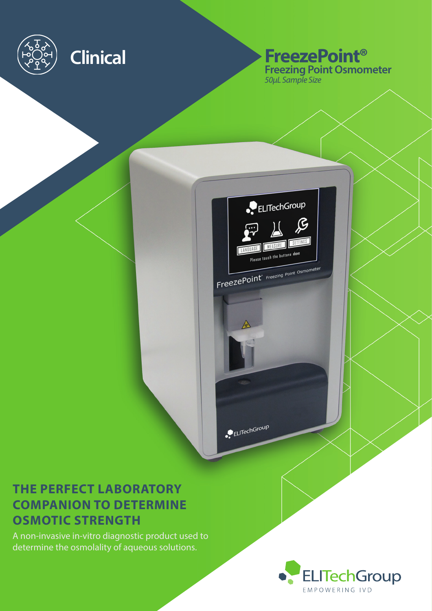

## **Clinical FreezePoint® Freezing Point Osmometer** *50µL Sample Size*



ELITechGroup

# **THE PERFECT LABORATORY COMPANION TO DETERMINE OSMOTIC STRENGTH**

A non-invasive in-vitro diagnostic product used to determine the osmolality of aqueous solutions.